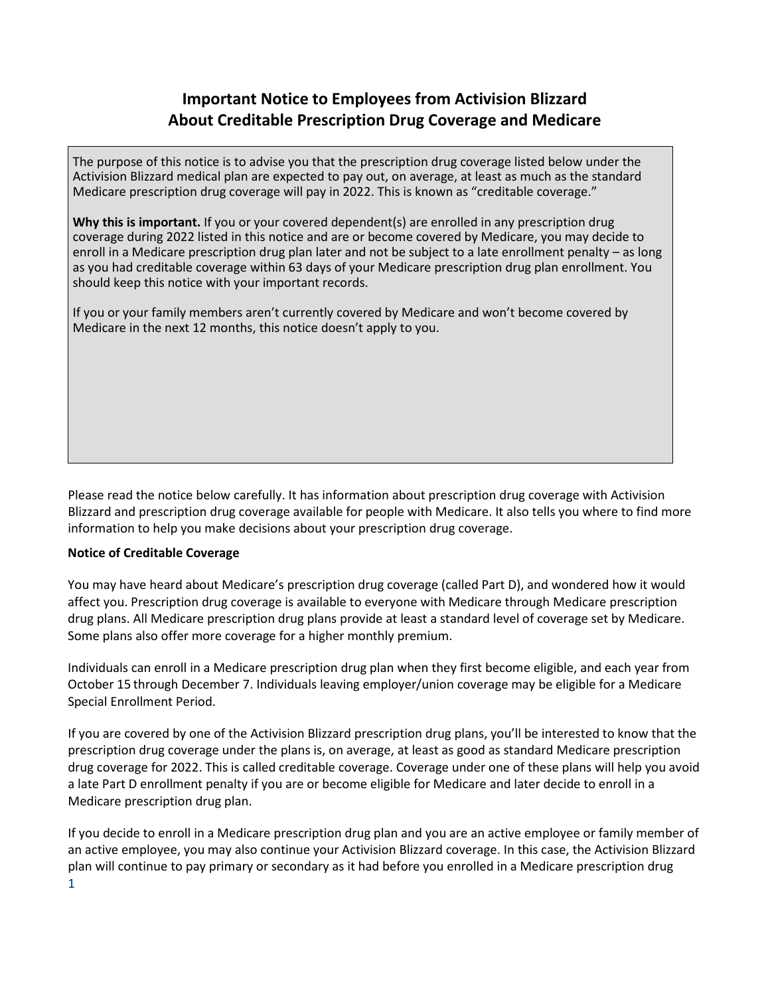# **Important Notice to Employees from Activision Blizzard About Creditable Prescription Drug Coverage and Medicare**

The purpose of this notice is to advise you that the prescription drug coverage listed below under the Activision Blizzard medical plan are expected to pay out, on average, at least as much as the standard Medicare prescription drug coverage will pay in 2022. This is known as "creditable coverage."

**Why this is important.** If you or your covered dependent(s) are enrolled in any prescription drug coverage during 2022 listed in this notice and are or become covered by Medicare, you may decide to enroll in a Medicare prescription drug plan later and not be subject to a late enrollment penalty – as long as you had creditable coverage within 63 days of your Medicare prescription drug plan enrollment. You should keep this notice with your important records.

If you or your family members aren't currently covered by Medicare and won't become covered by Medicare in the next 12 months, this notice doesn't apply to you.

Please read the notice below carefully. It has information about prescription drug coverage with Activision Blizzard and prescription drug coverage available for people with Medicare. It also tells you where to find more information to help you make decisions about your prescription drug coverage.

### **Notice of Creditable Coverage**

You may have heard about Medicare's prescription drug coverage (called Part D), and wondered how it would affect you. Prescription drug coverage is available to everyone with Medicare through Medicare prescription drug plans. All Medicare prescription drug plans provide at least a standard level of coverage set by Medicare. Some plans also offer more coverage for a higher monthly premium.

Individuals can enroll in a Medicare prescription drug plan when they first become eligible, and each year from October 15 through December 7. Individuals leaving employer/union coverage may be eligible for a Medicare Special Enrollment Period.

If you are covered by one of the Activision Blizzard prescription drug plans, you'll be interested to know that the prescription drug coverage under the plans is, on average, at least as good as standard Medicare prescription drug coverage for 2022. This is called creditable coverage. Coverage under one of these plans will help you avoid a late Part D enrollment penalty if you are or become eligible for Medicare and later decide to enroll in a Medicare prescription drug plan.

1 If you decide to enroll in a Medicare prescription drug plan and you are an active employee or family member of an active employee, you may also continue your Activision Blizzard coverage. In this case, the Activision Blizzard plan will continue to pay primary or secondary as it had before you enrolled in a Medicare prescription drug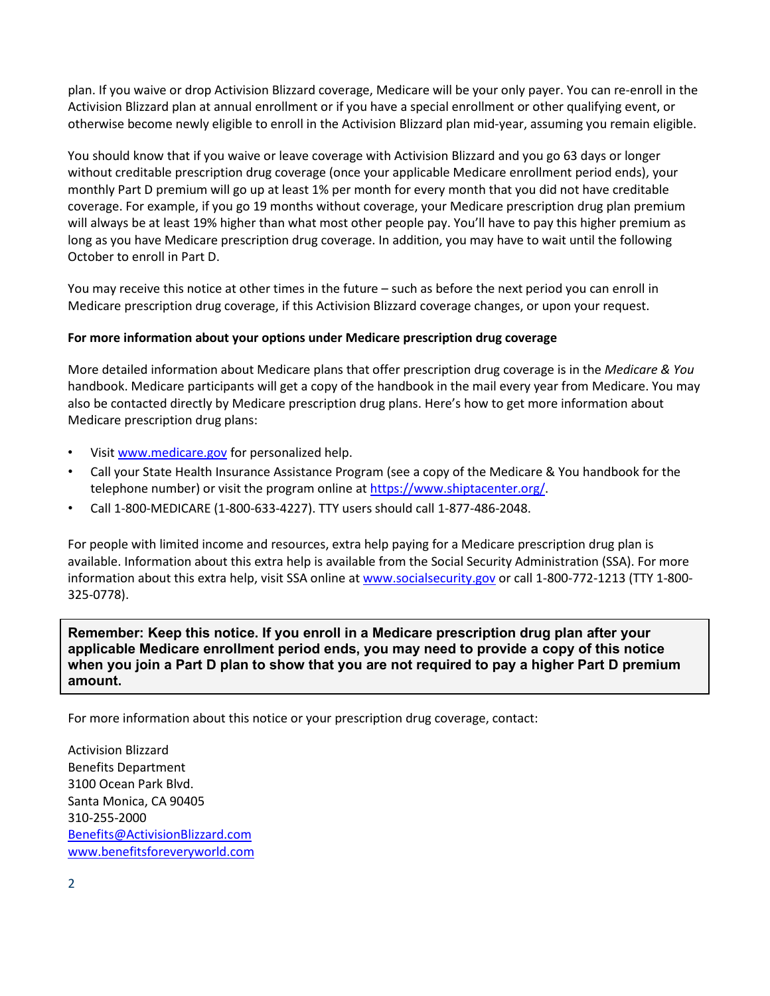plan. If you waive or drop Activision Blizzard coverage, Medicare will be your only payer. You can re-enroll in the Activision Blizzard plan at annual enrollment or if you have a special enrollment or other qualifying event, or otherwise become newly eligible to enroll in the Activision Blizzard plan mid-year, assuming you remain eligible.

You should know that if you waive or leave coverage with Activision Blizzard and you go 63 days or longer without creditable prescription drug coverage (once your applicable Medicare enrollment period ends), your monthly Part D premium will go up at least 1% per month for every month that you did not have creditable coverage. For example, if you go 19 months without coverage, your Medicare prescription drug plan premium will always be at least 19% higher than what most other people pay. You'll have to pay this higher premium as long as you have Medicare prescription drug coverage. In addition, you may have to wait until the following October to enroll in Part D.

You may receive this notice at other times in the future – such as before the next period you can enroll in Medicare prescription drug coverage, if this Activision Blizzard coverage changes, or upon your request.

#### **For more information about your options under Medicare prescription drug coverage**

More detailed information about Medicare plans that offer prescription drug coverage is in the *Medicare & You* handbook. Medicare participants will get a copy of the handbook in the mail every year from Medicare. You may also be contacted directly by Medicare prescription drug plans. Here's how to get more information about Medicare prescription drug plans:

- Visit [www.medicare.gov](http://www.medicare.gov/) for personalized help.
- Call your State Health Insurance Assistance Program (see a copy of the Medicare & You handbook for the telephone number) or visit the program online at [https://www.shiptacenter.org/.](https://www.shiptacenter.org/)
- Call 1-800-MEDICARE (1-800-633-4227). TTY users should call 1-877-486-2048.

For people with limited income and resources, extra help paying for a Medicare prescription drug plan is available. Information about this extra help is available from the Social Security Administration (SSA). For more information about this extra help, visit SSA online at [www.socialsecurity.gov](http://www.socialsecurity.gov/) or call 1-800-772-1213 (TTY 1-800-325-0778).

**Remember: Keep this notice. If you enroll in a Medicare prescription drug plan after your applicable Medicare enrollment period ends, you may need to provide a copy of this notice when you join a Part D plan to show that you are not required to pay a higher Part D premium amount.** 

For more information about this notice or your prescription drug coverage, contact: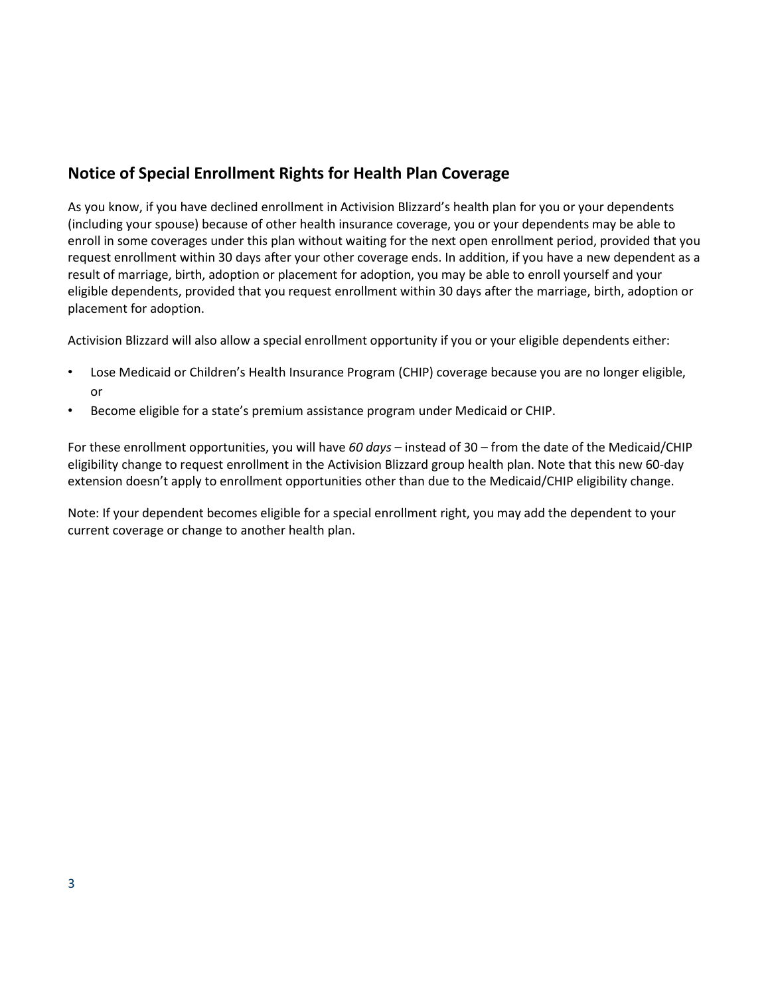# **Notice of Special Enrollment Rights for Health Plan Coverage**

As you know, if you have declined enrollment in Activision Blizzard's health plan for you or your dependents (including your spouse) because of other health insurance coverage, you or your dependents may be able to enroll in some coverages under this plan without waiting for the next open enrollment period, provided that you request enrollment within 30 days after your other coverage ends. In addition, if you have a new dependent as a result of marriage, birth, adoption or placement for adoption, you may be able to enroll yourself and your eligible dependents, provided that you request enrollment within 30 days after the marriage, birth, adoption or placement for adoption.

Activision Blizzard will also allow a special enrollment opportunity if you or your eligible dependents either:

- Lose Medicaid or Children's Health Insurance Program (CHIP) coverage because you are no longer eligible, or
- Become eligible for a state's premium assistance program under Medicaid or CHIP.

For these enrollment opportunities, you will have *60 days* – instead of 30 – from the date of the Medicaid/CHIP eligibility change to request enrollment in the Activision Blizzard group health plan. Note that this new 60-day extension doesn't apply to enrollment opportunities other than due to the Medicaid/CHIP eligibility change.

Note: If your dependent becomes eligible for a special enrollment right, you may add the dependent to your current coverage or change to another health plan.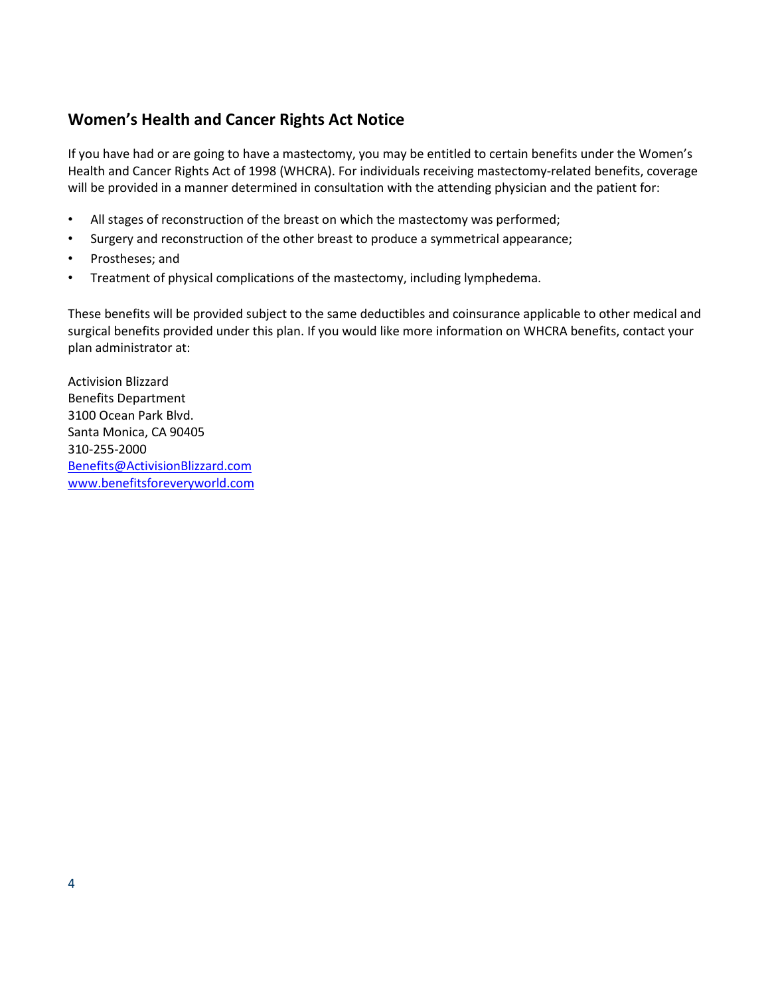# **Women's Health and Cancer Rights Act Notice**

If you have had or are going to have a mastectomy, you may be entitled to certain benefits under the Women's Health and Cancer Rights Act of 1998 (WHCRA). For individuals receiving mastectomy-related benefits, coverage will be provided in a manner determined in consultation with the attending physician and the patient for:

- All stages of reconstruction of the breast on which the mastectomy was performed;
- Surgery and reconstruction of the other breast to produce a symmetrical appearance;
- Prostheses; and
- Treatment of physical complications of the mastectomy, including lymphedema.

These benefits will be provided subject to the same deductibles and coinsurance applicable to other medical and surgical benefits provided under this plan. If you would like more information on WHCRA benefits, contact your plan administrator at: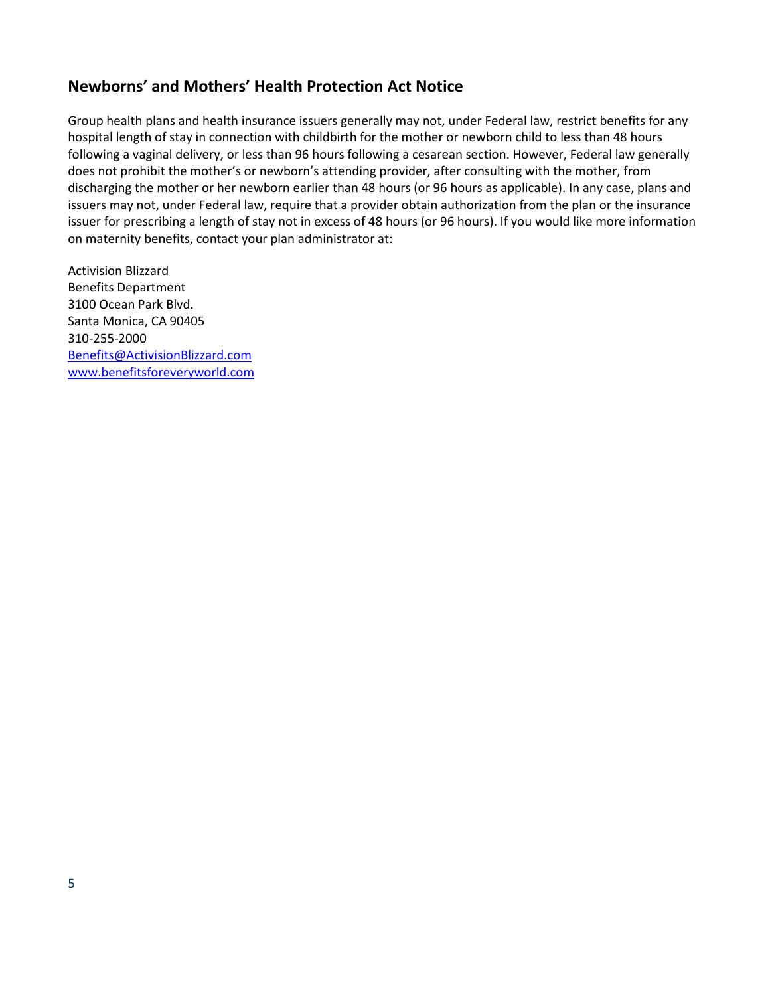### **Newborns' and Mothers' Health Protection Act Notice**

Group health plans and health insurance issuers generally may not, under Federal law, restrict benefits for any hospital length of stay in connection with childbirth for the mother or newborn child to less than 48 hours following a vaginal delivery, or less than 96 hours following a cesarean section. However, Federal law generally does not prohibit the mother's or newborn's attending provider, after consulting with the mother, from discharging the mother or her newborn earlier than 48 hours (or 96 hours as applicable). In any case, plans and issuers may not, under Federal law, require that a provider obtain authorization from the plan or the insurance issuer for prescribing a length of stay not in excess of 48 hours (or 96 hours). If you would like more information on maternity benefits, contact your plan administrator at: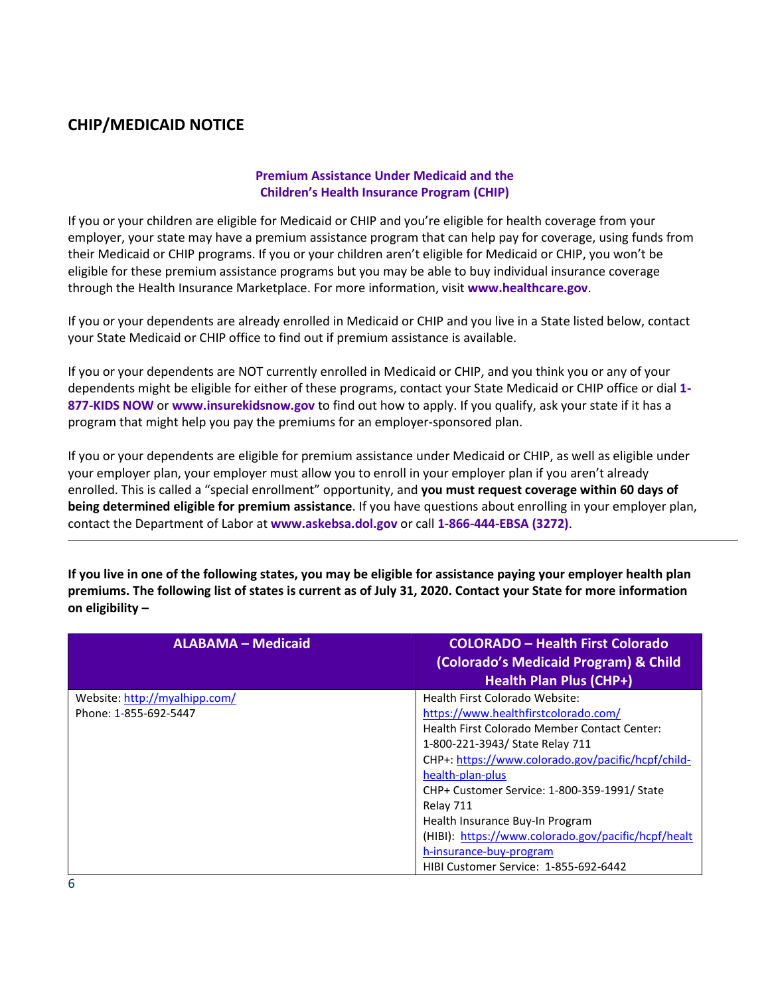# **CHIP/MEDICAID NOTICE**

### **Premium Assistance Under Medicaid and the Children's Health Insurance Program (CHIP)**

If you or your children are eligible for Medicaid or CHIP and you're eligible for health coverage from your employer, your state may have a premium assistance program that can help pay for coverage, using funds from their Medicaid or CHIP programs. If you or your children aren't eligible for Medicaid or CHIP, you won't be eligible for these premium assistance programs but you may be able to buy individual insurance coverage through the Health Insurance Marketplace. For more information, visit **[www.healthcare.gov](http://www.healthcare.gov/)**.

If you or your dependents are already enrolled in Medicaid or CHIP and you live in a State listed below, contact your State Medicaid or CHIP office to find out if premium assistance is available.

If you or your dependents are NOT currently enrolled in Medicaid or CHIP, and you think you or any of your dependents might be eligible for either of these programs, contact your State Medicaid or CHIP office or dial **1- 877-KIDS NOW** or **[www.insurekidsnow.gov](http://www.insurekidsnow.gov/)** to find out how to apply. If you qualify, ask your state if it has a program that might help you pay the premiums for an employer-sponsored plan.

If you or your dependents are eligible for premium assistance under Medicaid or CHIP, as well as eligible under your employer plan, your employer must allow you to enroll in your employer plan if you aren't already enrolled. This is called a "special enrollment" opportunity, and **you must request coverage within 60 days of being determined eligible for premium assistance**. If you have questions about enrolling in your employer plan, contact the Department of Labor at **[www.askebsa.dol.gov](http://www.askebsa.dol.gov/)** or call **1-866-444-EBSA (3272)**.

**If you live in one of the following states, you may be eligible for assistance paying your employer health plan premiums. The following list of states is current as of July 31, 2020. Contact your State for more information on eligibility –**

| <b>ALABAMA - Medicaid</b>     | <b>COLORADO - Health First Colorado</b><br>(Colorado's Medicaid Program) & Child<br><b>Health Plan Plus (CHP+)</b> |
|-------------------------------|--------------------------------------------------------------------------------------------------------------------|
| Website: http://myalhipp.com/ | Health First Colorado Website:                                                                                     |
| Phone: 1-855-692-5447         | https://www.healthfirstcolorado.com/                                                                               |
|                               | Health First Colorado Member Contact Center:                                                                       |
|                               | 1-800-221-3943/ State Relay 711                                                                                    |
|                               | CHP+: https://www.colorado.gov/pacific/hcpf/child-                                                                 |
|                               | health-plan-plus                                                                                                   |
|                               | CHP+ Customer Service: 1-800-359-1991/ State                                                                       |
|                               | Relay 711                                                                                                          |
|                               | Health Insurance Buy-In Program                                                                                    |
|                               | (HIBI): https://www.colorado.gov/pacific/hcpf/healt                                                                |
|                               | h-insurance-buy-program                                                                                            |
|                               | HIBI Customer Service: 1-855-692-6442                                                                              |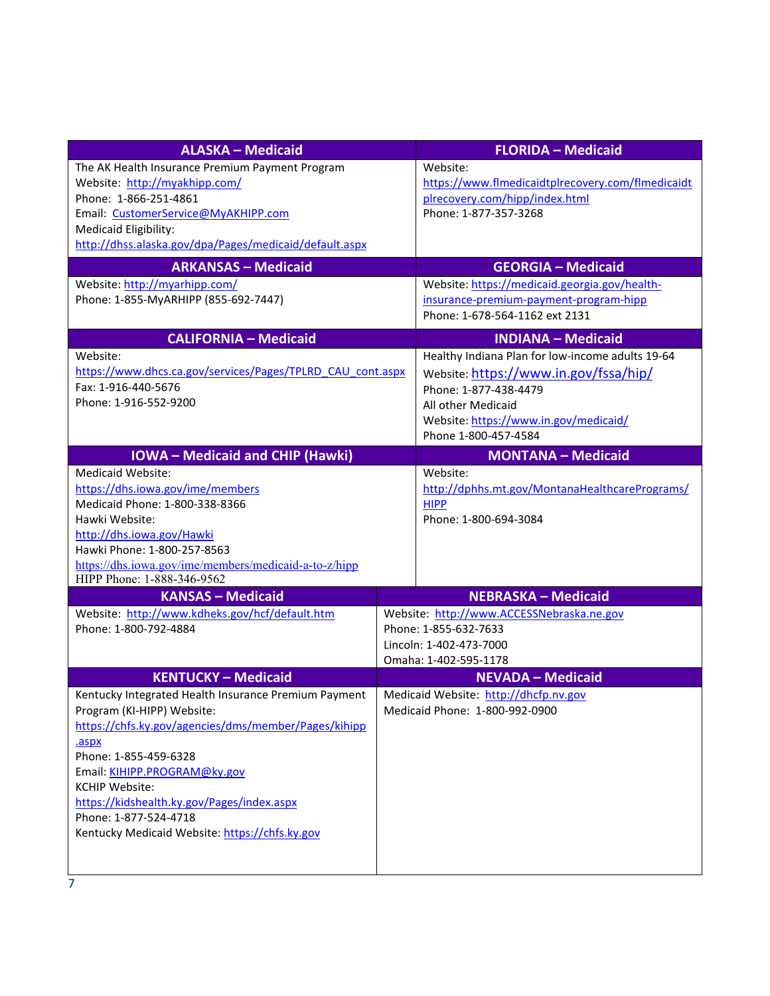| <b>ALASKA - Medicaid</b>                                   | <b>FLORIDA - Medicaid</b>                      |                                                   |  |
|------------------------------------------------------------|------------------------------------------------|---------------------------------------------------|--|
| The AK Health Insurance Premium Payment Program            | Website:                                       |                                                   |  |
| Website: http://myakhipp.com/                              |                                                | https://www.flmedicaidtplrecovery.com/flmedicaidt |  |
| Phone: 1-866-251-4861                                      | plrecovery.com/hipp/index.html                 |                                                   |  |
| Email: CustomerService@MyAKHIPP.com                        | Phone: 1-877-357-3268                          |                                                   |  |
| Medicaid Eligibility:                                      |                                                |                                                   |  |
| http://dhss.alaska.gov/dpa/Pages/medicaid/default.aspx     |                                                |                                                   |  |
| <b>ARKANSAS - Medicaid</b>                                 | <b>GEORGIA - Medicaid</b>                      |                                                   |  |
| Website: http://myarhipp.com/                              | Website: https://medicaid.georgia.gov/health-  |                                                   |  |
| Phone: 1-855-MyARHIPP (855-692-7447)                       |                                                | insurance-premium-payment-program-hipp            |  |
|                                                            | Phone: 1-678-564-1162 ext 2131                 |                                                   |  |
| <b>CALIFORNIA - Medicaid</b>                               | <b>INDIANA - Medicaid</b>                      |                                                   |  |
| Website:                                                   |                                                | Healthy Indiana Plan for low-income adults 19-64  |  |
| https://www.dhcs.ca.gov/services/Pages/TPLRD CAU cont.aspx | Website: https://www.in.gov/fssa/hip/          |                                                   |  |
| Fax: 1-916-440-5676                                        | Phone: 1-877-438-4479                          |                                                   |  |
| Phone: 1-916-552-9200                                      | All other Medicaid                             |                                                   |  |
|                                                            | Website: https://www.in.gov/medicaid/          |                                                   |  |
|                                                            | Phone 1-800-457-4584                           |                                                   |  |
| <b>IOWA</b> - Medicaid and CHIP (Hawki)                    | <b>MONTANA - Medicaid</b>                      |                                                   |  |
| Medicaid Website:                                          | Website:                                       |                                                   |  |
| https://dhs.iowa.gov/ime/members                           | http://dphhs.mt.gov/MontanaHealthcarePrograms/ |                                                   |  |
| Medicaid Phone: 1-800-338-8366                             | <b>HIPP</b>                                    |                                                   |  |
| Hawki Website:                                             | Phone: 1-800-694-3084                          |                                                   |  |
| http://dhs.iowa.gov/Hawki<br>Hawki Phone: 1-800-257-8563   |                                                |                                                   |  |
| https://dhs.iowa.gov/ime/members/medicaid-a-to-z/hipp      |                                                |                                                   |  |
| HIPP Phone: 1-888-346-9562                                 |                                                |                                                   |  |
| <b>KANSAS - Medicaid</b>                                   | <b>NEBRASKA - Medicaid</b>                     |                                                   |  |
| Website: http://www.kdheks.gov/hcf/default.htm             | Website: http://www.ACCESSNebraska.ne.gov      |                                                   |  |
| Phone: 1-800-792-4884                                      | Phone: 1-855-632-7633                          |                                                   |  |
|                                                            | Lincoln: 1-402-473-7000                        |                                                   |  |
|                                                            | Omaha: 1-402-595-1178                          |                                                   |  |
| <b>KENTUCKY - Medicaid</b>                                 | <b>NEVADA - Medicaid</b>                       |                                                   |  |
| Kentucky Integrated Health Insurance Premium Payment       | Medicaid Website: http://dhcfp.nv.gov          |                                                   |  |
| Program (KI-HIPP) Website:                                 | Medicaid Phone: 1-800-992-0900                 |                                                   |  |
| https://chfs.ky.gov/agencies/dms/member/Pages/kihipp       |                                                |                                                   |  |
| .aspx                                                      |                                                |                                                   |  |
| Phone: 1-855-459-6328                                      |                                                |                                                   |  |
| Email: KIHIPP.PROGRAM@ky.gov<br><b>KCHIP Website:</b>      |                                                |                                                   |  |
| https://kidshealth.ky.gov/Pages/index.aspx                 |                                                |                                                   |  |
| Phone: 1-877-524-4718                                      |                                                |                                                   |  |
| Kentucky Medicaid Website: https://chfs.ky.gov             |                                                |                                                   |  |
|                                                            |                                                |                                                   |  |
|                                                            |                                                |                                                   |  |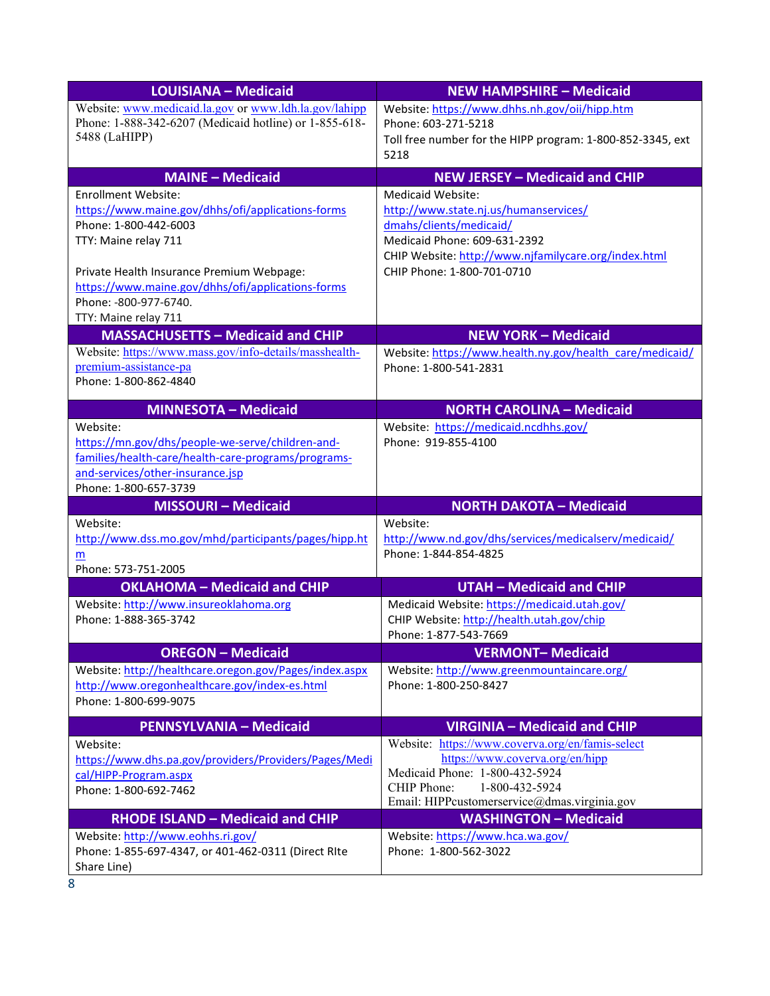| <b>LOUISIANA - Medicaid</b>                               | <b>NEW HAMPSHIRE - Medicaid</b>                                                      |
|-----------------------------------------------------------|--------------------------------------------------------------------------------------|
| Website: www.medicaid.la.gov or www.ldh.la.gov/lahipp     | Website: https://www.dhhs.nh.gov/oii/hipp.htm                                        |
| Phone: 1-888-342-6207 (Medicaid hotline) or 1-855-618-    | Phone: 603-271-5218                                                                  |
| 5488 (LaHIPP)                                             | Toll free number for the HIPP program: 1-800-852-3345, ext                           |
|                                                           | 5218                                                                                 |
| <b>MAINE - Medicaid</b>                                   | <b>NEW JERSEY - Medicaid and CHIP</b>                                                |
| <b>Enrollment Website:</b>                                | Medicaid Website:                                                                    |
| https://www.maine.gov/dhhs/ofi/applications-forms         | http://www.state.nj.us/humanservices/                                                |
| Phone: 1-800-442-6003                                     | dmahs/clients/medicaid/                                                              |
| TTY: Maine relay 711                                      | Medicaid Phone: 609-631-2392<br>CHIP Website: http://www.njfamilycare.org/index.html |
| Private Health Insurance Premium Webpage:                 | CHIP Phone: 1-800-701-0710                                                           |
| https://www.maine.gov/dhhs/ofi/applications-forms         |                                                                                      |
| Phone: -800-977-6740.                                     |                                                                                      |
| TTY: Maine relay 711                                      |                                                                                      |
| <b>MASSACHUSETTS - Medicaid and CHIP</b>                  | <b>NEW YORK - Medicaid</b>                                                           |
| Website: https://www.mass.gov/info-details/masshealth-    | Website: https://www.health.ny.gov/health care/medicaid/                             |
| premium-assistance-pa                                     | Phone: 1-800-541-2831                                                                |
| Phone: 1-800-862-4840                                     |                                                                                      |
| <b>MINNESOTA - Medicaid</b>                               | <b>NORTH CAROLINA - Medicaid</b>                                                     |
| Website:                                                  | Website: https://medicaid.ncdhhs.gov/                                                |
| https://mn.gov/dhs/people-we-serve/children-and-          | Phone: 919-855-4100                                                                  |
| families/health-care/health-care-programs/programs-       |                                                                                      |
| and-services/other-insurance.jsp                          |                                                                                      |
| Phone: 1-800-657-3739                                     |                                                                                      |
| <b>MISSOURI - Medicaid</b>                                | <b>NORTH DAKOTA - Medicaid</b>                                                       |
| Website:                                                  | Website:                                                                             |
| http://www.dss.mo.gov/mhd/participants/pages/hipp.ht<br>m | http://www.nd.gov/dhs/services/medicalserv/medicaid/<br>Phone: 1-844-854-4825        |
| Phone: 573-751-2005                                       |                                                                                      |
| <b>OKLAHOMA - Medicaid and CHIP</b>                       | <b>UTAH - Medicaid and CHIP</b>                                                      |
| Website: http://www.insureoklahoma.org                    | Medicaid Website: https://medicaid.utah.gov/                                         |
| Phone: 1-888-365-3742                                     | CHIP Website: http://health.utah.gov/chip                                            |
|                                                           | Phone: 1-877-543-7669                                                                |
| <b>OREGON - Medicaid</b>                                  | <b>VERMONT-Medicaid</b>                                                              |
| Website: http://healthcare.oregon.gov/Pages/index.aspx    | Website: http://www.greenmountaincare.org/                                           |
| http://www.oregonhealthcare.gov/index-es.html             | Phone: 1-800-250-8427                                                                |
| Phone: 1-800-699-9075                                     |                                                                                      |
| <b>PENNSYLVANIA - Medicaid</b>                            | <b>VIRGINIA - Medicaid and CHIP</b>                                                  |
| Website:                                                  | Website: https://www.coverva.org/en/famis-select                                     |
| https://www.dhs.pa.gov/providers/Providers/Pages/Medi     | https://www.coverva.org/en/hipp                                                      |
| cal/HIPP-Program.aspx                                     | Medicaid Phone: 1-800-432-5924<br>1-800-432-5924<br>CHIP Phone:                      |
| Phone: 1-800-692-7462                                     | Email: HIPPcustomerservice@dmas.virginia.gov                                         |
| <b>RHODE ISLAND - Medicaid and CHIP</b>                   | <b>WASHINGTON - Medicaid</b>                                                         |
| Website: http://www.eohhs.ri.gov/                         | Website: https://www.hca.wa.gov/                                                     |
| Phone: 1-855-697-4347, or 401-462-0311 (Direct RIte       | Phone: 1-800-562-3022                                                                |
| Share Line)                                               |                                                                                      |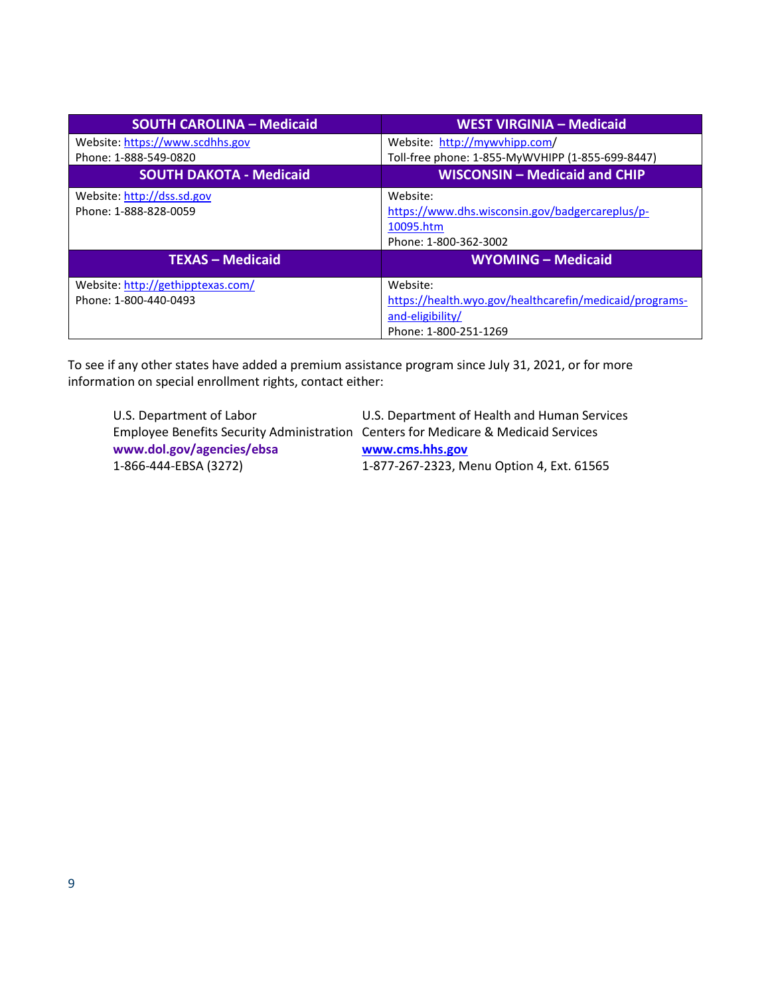| <b>SOUTH CAROLINA - Medicaid</b>  | <b>WEST VIRGINIA - Medicaid</b>                         |
|-----------------------------------|---------------------------------------------------------|
| Website: https://www.scdhhs.gov   | Website: http://mywvhipp.com/                           |
| Phone: 1-888-549-0820             | Toll-free phone: 1-855-MyWVHIPP (1-855-699-8447)        |
| <b>SOUTH DAKOTA - Medicaid</b>    | <b>WISCONSIN - Medicaid and CHIP</b>                    |
| Website: http://dss.sd.gov        | Website:                                                |
| Phone: 1-888-828-0059             | https://www.dhs.wisconsin.gov/badgercareplus/p-         |
|                                   | 10095.htm                                               |
|                                   | Phone: 1-800-362-3002                                   |
| <b>TEXAS - Medicaid</b>           | <b>WYOMING - Medicaid</b>                               |
| Website: http://gethipptexas.com/ | Website:                                                |
| Phone: 1-800-440-0493             | https://health.wyo.gov/healthcarefin/medicaid/programs- |
|                                   | and-eligibility/                                        |
|                                   | Phone: 1-800-251-1269                                   |

To see if any other states have added a premium assistance program since July 31, 2021, or for more information on special enrollment rights, contact either:

U.S. Department of Labor U.S. Department of Health and Human Services **[www.dol.gov/agencies/ebsa](https://www.dol.gov/agencies/ebsa) [www.cms.hhs.gov](http://www.cms.hhs.gov/)**

Employee Benefits Security Administration Centers for Medicare & Medicaid Services 1-866-444-EBSA (3272) 1-877-267-2323, Menu Option 4, Ext. 61565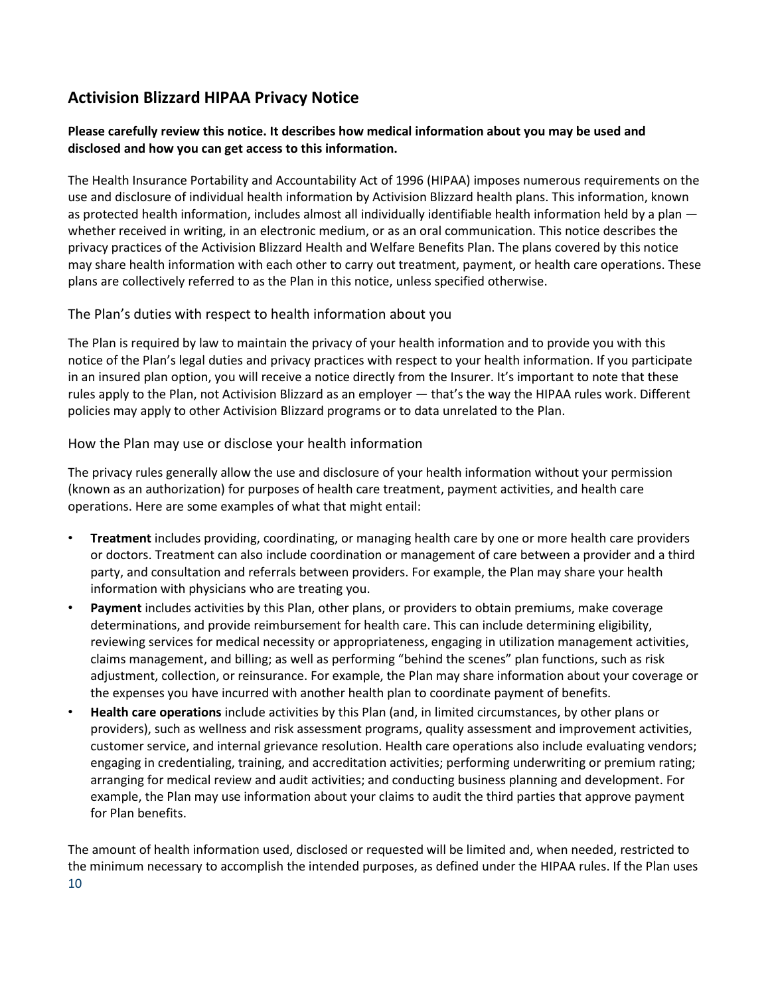# **Activision Blizzard HIPAA Privacy Notice**

### **Please carefully review this notice. It describes how medical information about you may be used and disclosed and how you can get access to this information.**

The Health Insurance Portability and Accountability Act of 1996 (HIPAA) imposes numerous requirements on the use and disclosure of individual health information by Activision Blizzard health plans. This information, known as protected health information, includes almost all individually identifiable health information held by a plan whether received in writing, in an electronic medium, or as an oral communication. This notice describes the privacy practices of the Activision Blizzard Health and Welfare Benefits Plan. The plans covered by this notice may share health information with each other to carry out treatment, payment, or health care operations. These plans are collectively referred to as the Plan in this notice, unless specified otherwise.

### The Plan's duties with respect to health information about you

The Plan is required by law to maintain the privacy of your health information and to provide you with this notice of the Plan's legal duties and privacy practices with respect to your health information. If you participate in an insured plan option, you will receive a notice directly from the Insurer. It's important to note that these rules apply to the Plan, not Activision Blizzard as an employer — that's the way the HIPAA rules work. Different policies may apply to other Activision Blizzard programs or to data unrelated to the Plan.

### How the Plan may use or disclose your health information

The privacy rules generally allow the use and disclosure of your health information without your permission (known as an authorization) for purposes of health care treatment, payment activities, and health care operations. Here are some examples of what that might entail:

- **Treatment** includes providing, coordinating, or managing health care by one or more health care providers or doctors. Treatment can also include coordination or management of care between a provider and a third party, and consultation and referrals between providers. For example, the Plan may share your health information with physicians who are treating you.
- **Payment** includes activities by this Plan, other plans, or providers to obtain premiums, make coverage determinations, and provide reimbursement for health care. This can include determining eligibility, reviewing services for medical necessity or appropriateness, engaging in utilization management activities, claims management, and billing; as well as performing "behind the scenes" plan functions, such as risk adjustment, collection, or reinsurance. For example, the Plan may share information about your coverage or the expenses you have incurred with another health plan to coordinate payment of benefits.
- **Health care operations** include activities by this Plan (and, in limited circumstances, by other plans or providers), such as wellness and risk assessment programs, quality assessment and improvement activities, customer service, and internal grievance resolution. Health care operations also include evaluating vendors; engaging in credentialing, training, and accreditation activities; performing underwriting or premium rating; arranging for medical review and audit activities; and conducting business planning and development. For example, the Plan may use information about your claims to audit the third parties that approve payment for Plan benefits.

10 The amount of health information used, disclosed or requested will be limited and, when needed, restricted to the minimum necessary to accomplish the intended purposes, as defined under the HIPAA rules. If the Plan uses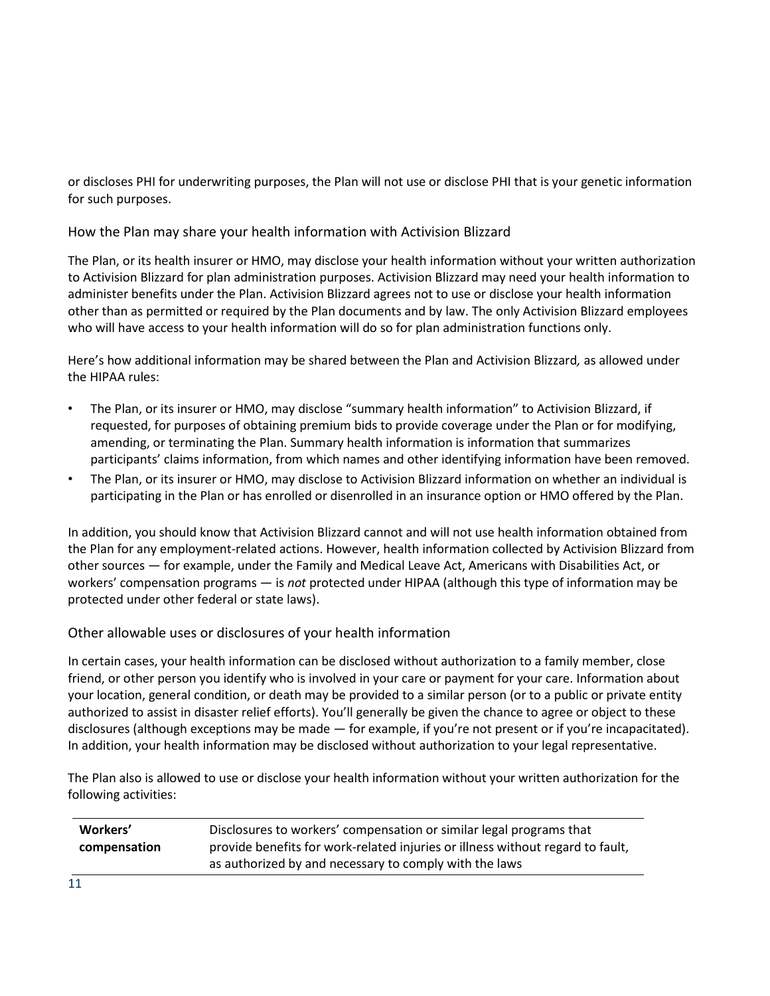or discloses PHI for underwriting purposes, the Plan will not use or disclose PHI that is your genetic information for such purposes.

How the Plan may share your health information with Activision Blizzard

The Plan, or its health insurer or HMO, may disclose your health information without your written authorization to Activision Blizzard for plan administration purposes. Activision Blizzard may need your health information to administer benefits under the Plan. Activision Blizzard agrees not to use or disclose your health information other than as permitted or required by the Plan documents and by law. The only Activision Blizzard employees who will have access to your health information will do so for plan administration functions only.

Here's how additional information may be shared between the Plan and Activision Blizzard*,* as allowed under the HIPAA rules:

- The Plan, or its insurer or HMO, may disclose "summary health information" to Activision Blizzard, if requested, for purposes of obtaining premium bids to provide coverage under the Plan or for modifying, amending, or terminating the Plan. Summary health information is information that summarizes participants' claims information, from which names and other identifying information have been removed.
- The Plan, or its insurer or HMO, may disclose to Activision Blizzard information on whether an individual is participating in the Plan or has enrolled or disenrolled in an insurance option or HMO offered by the Plan.

In addition, you should know that Activision Blizzard cannot and will not use health information obtained from the Plan for any employment-related actions. However, health information collected by Activision Blizzard from other sources — for example, under the Family and Medical Leave Act, Americans with Disabilities Act, or workers' compensation programs — is *not* protected under HIPAA (although this type of information may be protected under other federal or state laws).

Other allowable uses or disclosures of your health information

In certain cases, your health information can be disclosed without authorization to a family member, close friend, or other person you identify who is involved in your care or payment for your care. Information about your location, general condition, or death may be provided to a similar person (or to a public or private entity authorized to assist in disaster relief efforts). You'll generally be given the chance to agree or object to these disclosures (although exceptions may be made — for example, if you're not present or if you're incapacitated). In addition, your health information may be disclosed without authorization to your legal representative.

The Plan also is allowed to use or disclose your health information without your written authorization for the following activities:

| Workers'     | Disclosures to workers' compensation or similar legal programs that            |  |
|--------------|--------------------------------------------------------------------------------|--|
| compensation | provide benefits for work-related injuries or illness without regard to fault, |  |
|              | as authorized by and necessary to comply with the laws                         |  |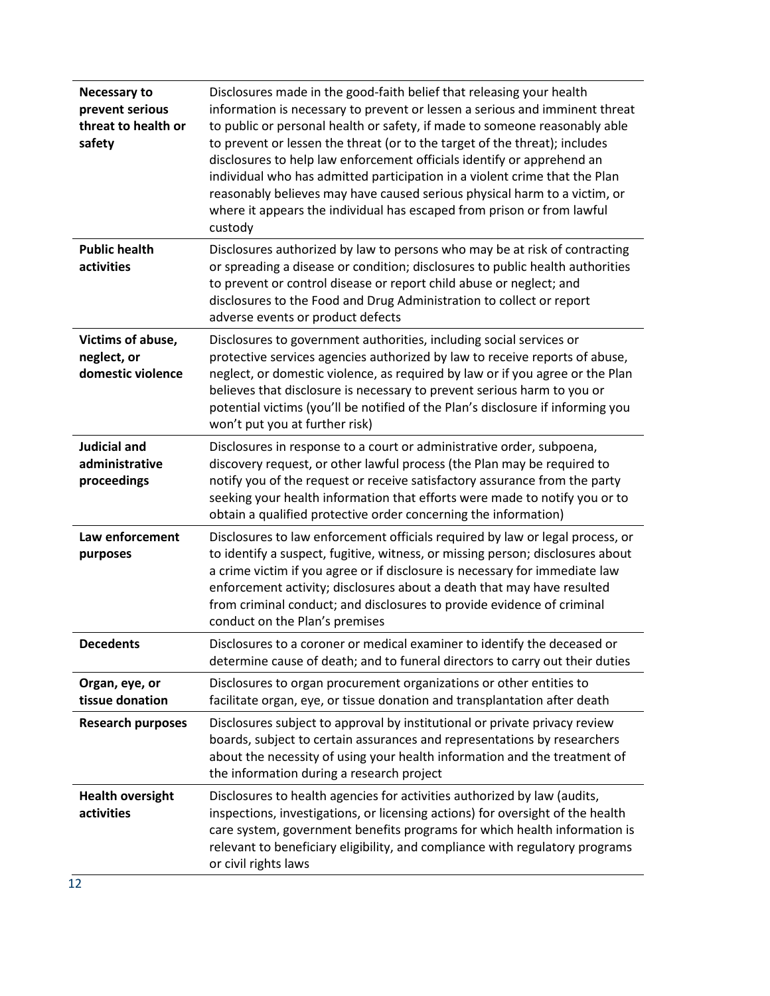| <b>Necessary to</b><br>prevent serious<br>threat to health or<br>safety | Disclosures made in the good-faith belief that releasing your health<br>information is necessary to prevent or lessen a serious and imminent threat<br>to public or personal health or safety, if made to someone reasonably able<br>to prevent or lessen the threat (or to the target of the threat); includes<br>disclosures to help law enforcement officials identify or apprehend an<br>individual who has admitted participation in a violent crime that the Plan<br>reasonably believes may have caused serious physical harm to a victim, or<br>where it appears the individual has escaped from prison or from lawful<br>custody |
|-------------------------------------------------------------------------|-------------------------------------------------------------------------------------------------------------------------------------------------------------------------------------------------------------------------------------------------------------------------------------------------------------------------------------------------------------------------------------------------------------------------------------------------------------------------------------------------------------------------------------------------------------------------------------------------------------------------------------------|
| <b>Public health</b><br>activities                                      | Disclosures authorized by law to persons who may be at risk of contracting<br>or spreading a disease or condition; disclosures to public health authorities<br>to prevent or control disease or report child abuse or neglect; and<br>disclosures to the Food and Drug Administration to collect or report<br>adverse events or product defects                                                                                                                                                                                                                                                                                           |
| Victims of abuse,<br>neglect, or<br>domestic violence                   | Disclosures to government authorities, including social services or<br>protective services agencies authorized by law to receive reports of abuse,<br>neglect, or domestic violence, as required by law or if you agree or the Plan<br>believes that disclosure is necessary to prevent serious harm to you or<br>potential victims (you'll be notified of the Plan's disclosure if informing you<br>won't put you at further risk)                                                                                                                                                                                                       |
| Judicial and<br>administrative<br>proceedings                           | Disclosures in response to a court or administrative order, subpoena,<br>discovery request, or other lawful process (the Plan may be required to<br>notify you of the request or receive satisfactory assurance from the party<br>seeking your health information that efforts were made to notify you or to<br>obtain a qualified protective order concerning the information)                                                                                                                                                                                                                                                           |
| Law enforcement<br>purposes                                             | Disclosures to law enforcement officials required by law or legal process, or<br>to identify a suspect, fugitive, witness, or missing person; disclosures about<br>a crime victim if you agree or if disclosure is necessary for immediate law<br>enforcement activity; disclosures about a death that may have resulted<br>from criminal conduct; and disclosures to provide evidence of criminal<br>conduct on the Plan's premises                                                                                                                                                                                                      |
| <b>Decedents</b>                                                        | Disclosures to a coroner or medical examiner to identify the deceased or<br>determine cause of death; and to funeral directors to carry out their duties                                                                                                                                                                                                                                                                                                                                                                                                                                                                                  |
| Organ, eye, or<br>tissue donation                                       | Disclosures to organ procurement organizations or other entities to<br>facilitate organ, eye, or tissue donation and transplantation after death                                                                                                                                                                                                                                                                                                                                                                                                                                                                                          |
| <b>Research purposes</b>                                                | Disclosures subject to approval by institutional or private privacy review<br>boards, subject to certain assurances and representations by researchers<br>about the necessity of using your health information and the treatment of<br>the information during a research project                                                                                                                                                                                                                                                                                                                                                          |
| <b>Health oversight</b><br>activities                                   | Disclosures to health agencies for activities authorized by law (audits,<br>inspections, investigations, or licensing actions) for oversight of the health<br>care system, government benefits programs for which health information is<br>relevant to beneficiary eligibility, and compliance with regulatory programs<br>or civil rights laws                                                                                                                                                                                                                                                                                           |
| 12                                                                      |                                                                                                                                                                                                                                                                                                                                                                                                                                                                                                                                                                                                                                           |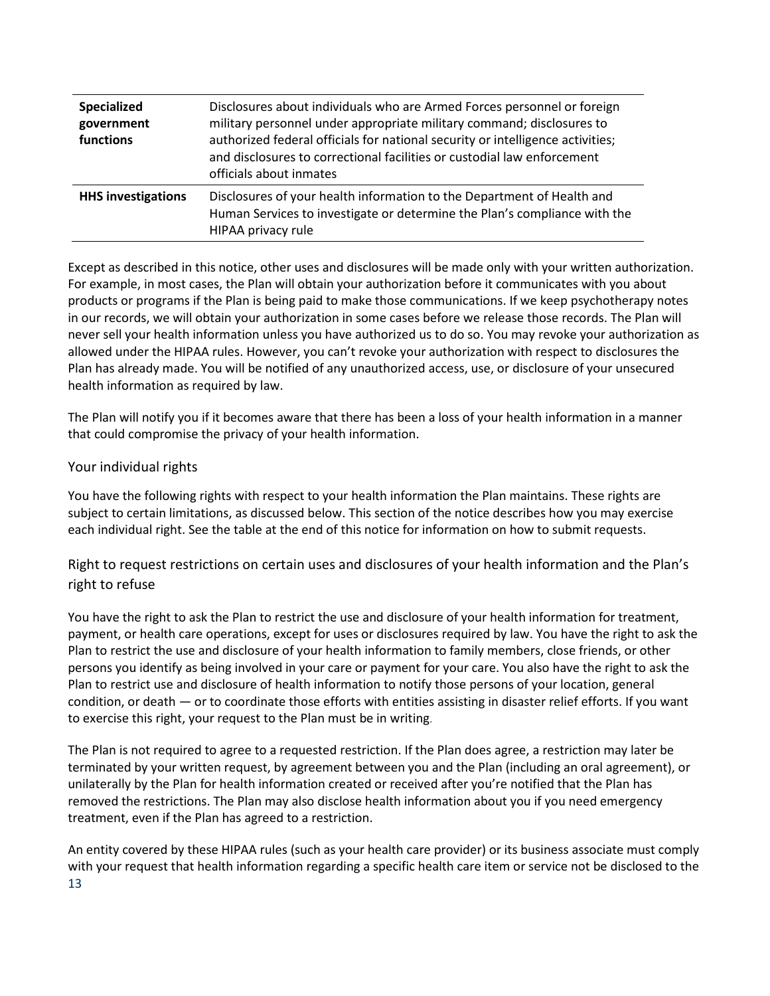| <b>Specialized</b><br>government<br>functions | Disclosures about individuals who are Armed Forces personnel or foreign<br>military personnel under appropriate military command; disclosures to<br>authorized federal officials for national security or intelligence activities;<br>and disclosures to correctional facilities or custodial law enforcement<br>officials about inmates |  |
|-----------------------------------------------|------------------------------------------------------------------------------------------------------------------------------------------------------------------------------------------------------------------------------------------------------------------------------------------------------------------------------------------|--|
| <b>HHS investigations</b>                     | Disclosures of your health information to the Department of Health and<br>Human Services to investigate or determine the Plan's compliance with the<br>HIPAA privacy rule                                                                                                                                                                |  |

Except as described in this notice, other uses and disclosures will be made only with your written authorization. For example, in most cases, the Plan will obtain your authorization before it communicates with you about products or programs if the Plan is being paid to make those communications. If we keep psychotherapy notes in our records, we will obtain your authorization in some cases before we release those records. The Plan will never sell your health information unless you have authorized us to do so. You may revoke your authorization as allowed under the HIPAA rules. However, you can't revoke your authorization with respect to disclosures the Plan has already made. You will be notified of any unauthorized access, use, or disclosure of your unsecured health information as required by law.

The Plan will notify you if it becomes aware that there has been a loss of your health information in a manner that could compromise the privacy of your health information.

### Your individual rights

You have the following rights with respect to your health information the Plan maintains. These rights are subject to certain limitations, as discussed below. This section of the notice describes how you may exercise each individual right. See the table at the end of this notice for information on how to submit requests.

Right to request restrictions on certain uses and disclosures of your health information and the Plan's right to refuse

You have the right to ask the Plan to restrict the use and disclosure of your health information for treatment, payment, or health care operations, except for uses or disclosures required by law. You have the right to ask the Plan to restrict the use and disclosure of your health information to family members, close friends, or other persons you identify as being involved in your care or payment for your care. You also have the right to ask the Plan to restrict use and disclosure of health information to notify those persons of your location, general condition, or death — or to coordinate those efforts with entities assisting in disaster relief efforts. If you want to exercise this right, your request to the Plan must be in writing.

The Plan is not required to agree to a requested restriction. If the Plan does agree, a restriction may later be terminated by your written request, by agreement between you and the Plan (including an oral agreement), or unilaterally by the Plan for health information created or received after you're notified that the Plan has removed the restrictions. The Plan may also disclose health information about you if you need emergency treatment, even if the Plan has agreed to a restriction.

13 An entity covered by these HIPAA rules (such as your health care provider) or its business associate must comply with your request that health information regarding a specific health care item or service not be disclosed to the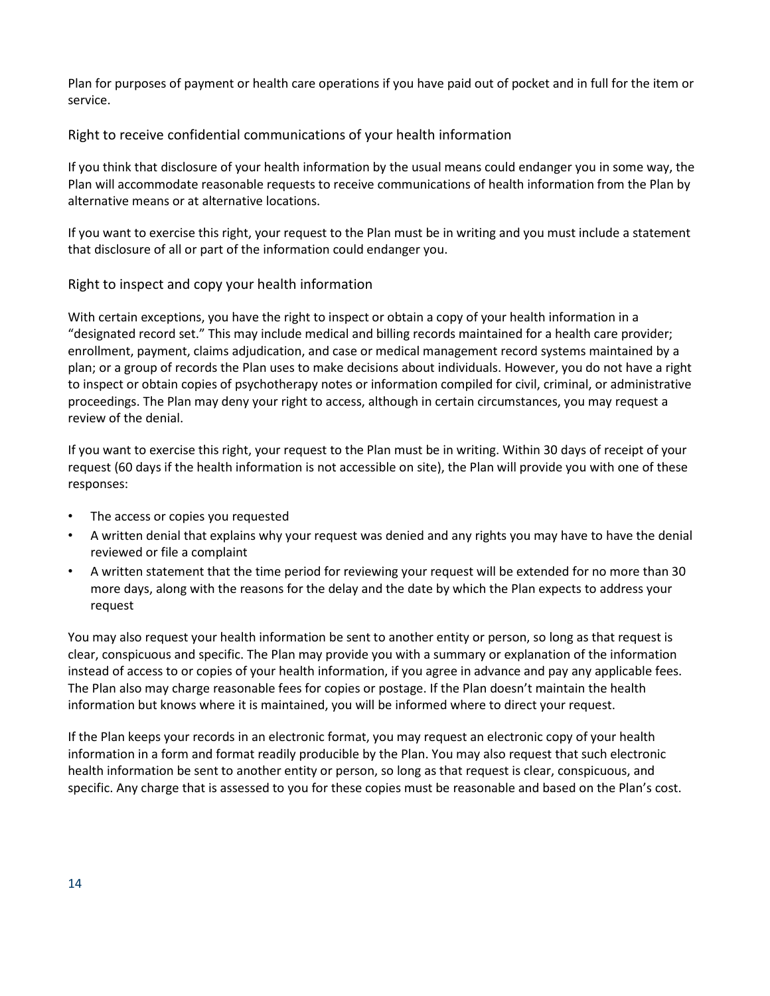Plan for purposes of payment or health care operations if you have paid out of pocket and in full for the item or service.

Right to receive confidential communications of your health information

If you think that disclosure of your health information by the usual means could endanger you in some way, the Plan will accommodate reasonable requests to receive communications of health information from the Plan by alternative means or at alternative locations.

If you want to exercise this right, your request to the Plan must be in writing and you must include a statement that disclosure of all or part of the information could endanger you.

### Right to inspect and copy your health information

With certain exceptions, you have the right to inspect or obtain a copy of your health information in a "designated record set." This may include medical and billing records maintained for a health care provider; enrollment, payment, claims adjudication, and case or medical management record systems maintained by a plan; or a group of records the Plan uses to make decisions about individuals. However, you do not have a right to inspect or obtain copies of psychotherapy notes or information compiled for civil, criminal, or administrative proceedings. The Plan may deny your right to access, although in certain circumstances, you may request a review of the denial.

If you want to exercise this right, your request to the Plan must be in writing. Within 30 days of receipt of your request (60 days if the health information is not accessible on site), the Plan will provide you with one of these responses:

- The access or copies you requested
- A written denial that explains why your request was denied and any rights you may have to have the denial reviewed or file a complaint
- A written statement that the time period for reviewing your request will be extended for no more than 30 more days, along with the reasons for the delay and the date by which the Plan expects to address your request

You may also request your health information be sent to another entity or person, so long as that request is clear, conspicuous and specific. The Plan may provide you with a summary or explanation of the information instead of access to or copies of your health information, if you agree in advance and pay any applicable fees. The Plan also may charge reasonable fees for copies or postage. If the Plan doesn't maintain the health information but knows where it is maintained, you will be informed where to direct your request.

If the Plan keeps your records in an electronic format, you may request an electronic copy of your health information in a form and format readily producible by the Plan. You may also request that such electronic health information be sent to another entity or person, so long as that request is clear, conspicuous, and specific. Any charge that is assessed to you for these copies must be reasonable and based on the Plan's cost.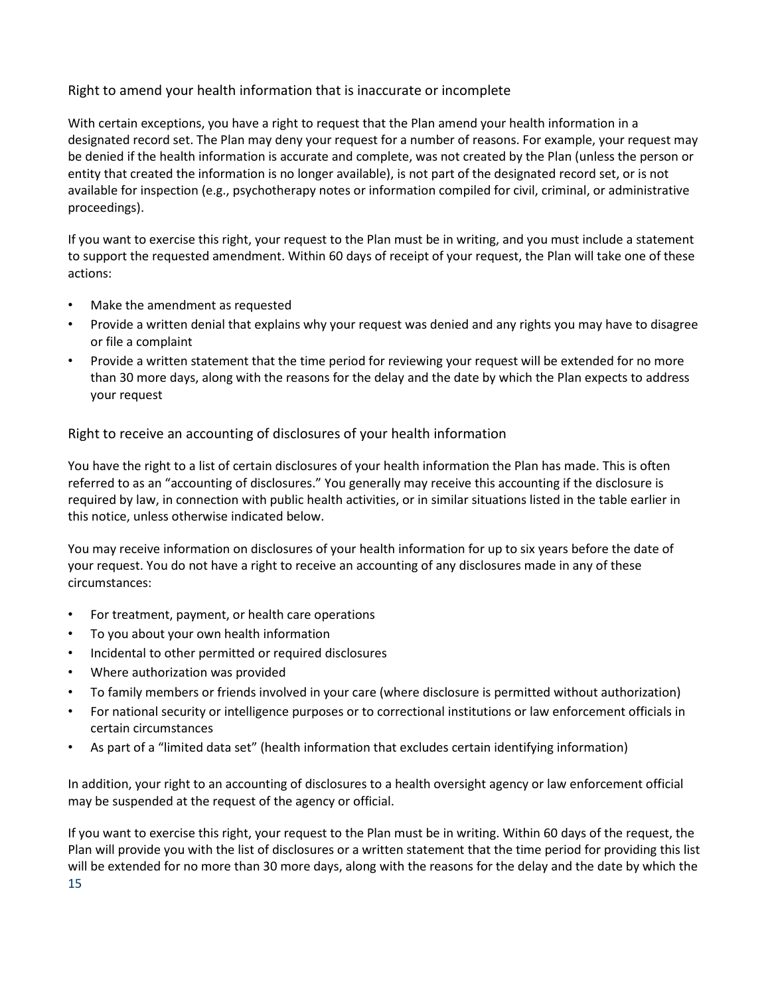### Right to amend your health information that is inaccurate or incomplete

With certain exceptions, you have a right to request that the Plan amend your health information in a designated record set. The Plan may deny your request for a number of reasons. For example, your request may be denied if the health information is accurate and complete, was not created by the Plan (unless the person or entity that created the information is no longer available), is not part of the designated record set, or is not available for inspection (e.g., psychotherapy notes or information compiled for civil, criminal, or administrative proceedings).

If you want to exercise this right, your request to the Plan must be in writing, and you must include a statement to support the requested amendment. Within 60 days of receipt of your request, the Plan will take one of these actions:

- Make the amendment as requested
- Provide a written denial that explains why your request was denied and any rights you may have to disagree or file a complaint
- Provide a written statement that the time period for reviewing your request will be extended for no more than 30 more days, along with the reasons for the delay and the date by which the Plan expects to address your request

Right to receive an accounting of disclosures of your health information

You have the right to a list of certain disclosures of your health information the Plan has made. This is often referred to as an "accounting of disclosures." You generally may receive this accounting if the disclosure is required by law, in connection with public health activities, or in similar situations listed in the table earlier in this notice, unless otherwise indicated below.

You may receive information on disclosures of your health information for up to six years before the date of your request. You do not have a right to receive an accounting of any disclosures made in any of these circumstances:

- For treatment, payment, or health care operations
- To you about your own health information
- Incidental to other permitted or required disclosures
- Where authorization was provided
- To family members or friends involved in your care (where disclosure is permitted without authorization)
- For national security or intelligence purposes or to correctional institutions or law enforcement officials in certain circumstances
- As part of a "limited data set" (health information that excludes certain identifying information)

In addition, your right to an accounting of disclosures to a health oversight agency or law enforcement official may be suspended at the request of the agency or official.

15 If you want to exercise this right, your request to the Plan must be in writing. Within 60 days of the request, the Plan will provide you with the list of disclosures or a written statement that the time period for providing this list will be extended for no more than 30 more days, along with the reasons for the delay and the date by which the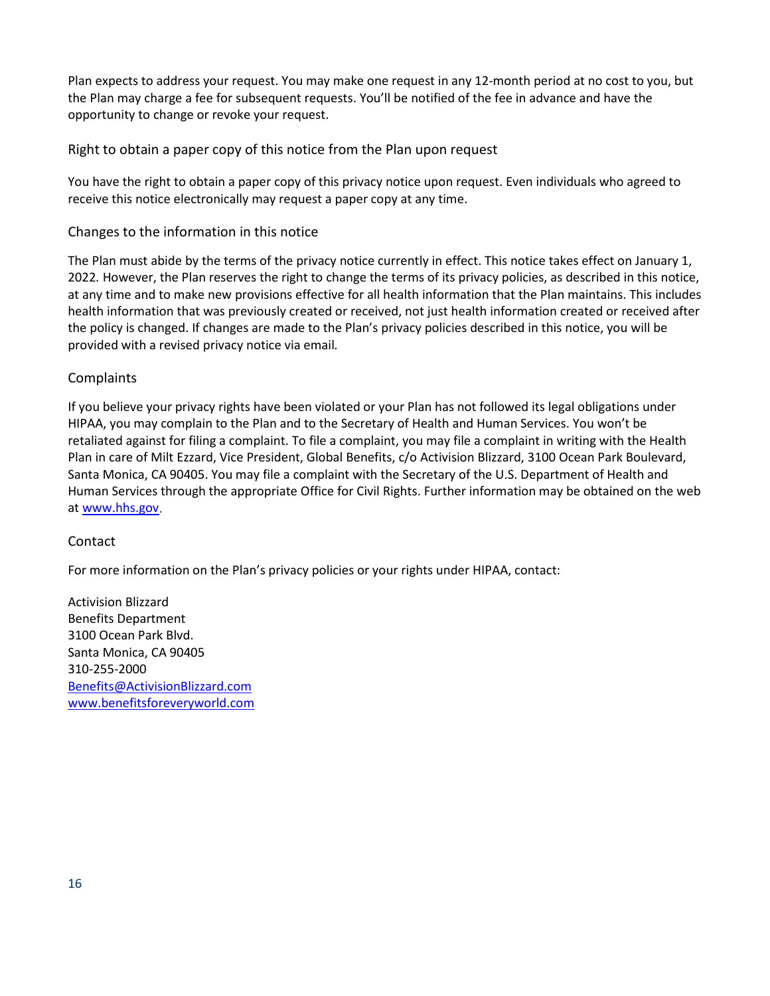Plan expects to address your request. You may make one request in any 12-month period at no cost to you, but the Plan may charge a fee for subsequent requests. You'll be notified of the fee in advance and have the opportunity to change or revoke your request.

Right to obtain a paper copy of this notice from the Plan upon request

You have the right to obtain a paper copy of this privacy notice upon request. Even individuals who agreed to receive this notice electronically may request a paper copy at any time.

### Changes to the information in this notice

The Plan must abide by the terms of the privacy notice currently in effect. This notice takes effect on January 1, 2022*.* However, the Plan reserves the right to change the terms of its privacy policies, as described in this notice, at any time and to make new provisions effective for all health information that the Plan maintains. This includes health information that was previously created or received, not just health information created or received after the policy is changed. If changes are made to the Plan's privacy policies described in this notice, you will be provided with a revised privacy notice via email*.*

### **Complaints**

If you believe your privacy rights have been violated or your Plan has not followed its legal obligations under HIPAA, you may complain to the Plan and to the Secretary of Health and Human Services. You won't be retaliated against for filing a complaint. To file a complaint, you may file a complaint in writing with the Health Plan in care of Milt Ezzard, Vice President, Global Benefits, c/o Activision Blizzard, 3100 Ocean Park Boulevard, Santa Monica, CA 90405. You may file a complaint with the Secretary of the U.S. Department of Health and Human Services through the appropriate Office for Civil Rights. Further information may be obtained on the web at [www.hhs.gov.](http://www.hhs.gov/)

#### Contact

For more information on the Plan's privacy policies or your rights under HIPAA, contact: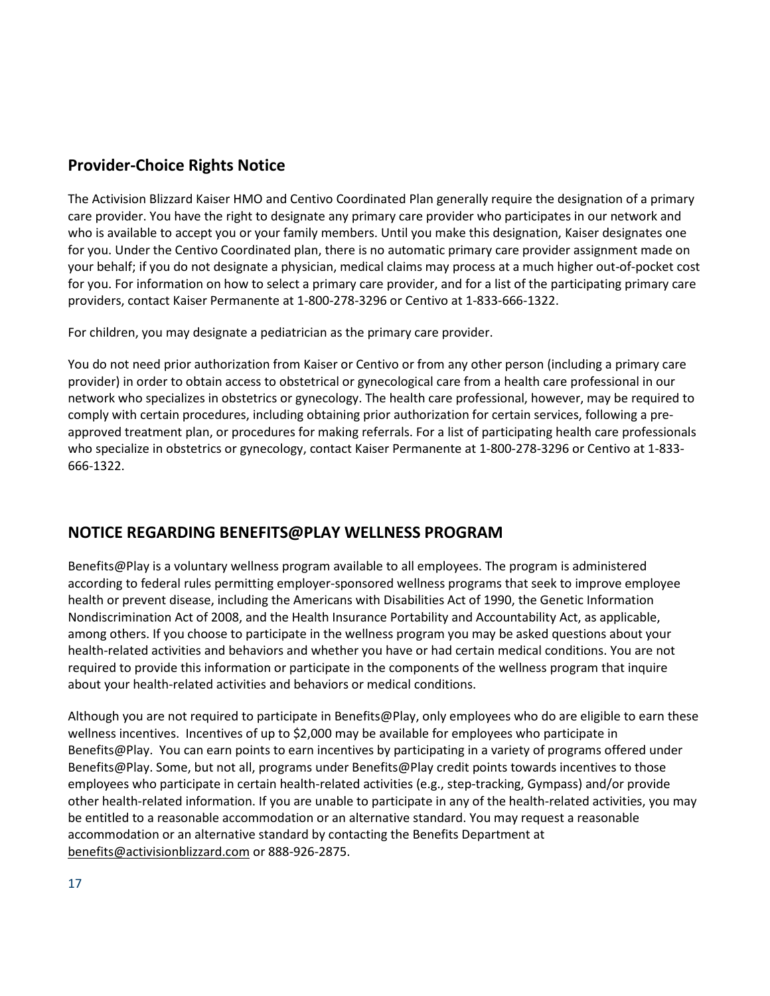## **Provider-Choice Rights Notice**

The Activision Blizzard Kaiser HMO and Centivo Coordinated Plan generally require the designation of a primary care provider. You have the right to designate any primary care provider who participates in our network and who is available to accept you or your family members. Until you make this designation, Kaiser designates one for you. Under the Centivo Coordinated plan, there is no automatic primary care provider assignment made on your behalf; if you do not designate a physician, medical claims may process at a much higher out-of-pocket cost for you. For information on how to select a primary care provider, and for a list of the participating primary care providers, contact Kaiser Permanente at 1-800-278-3296 or Centivo at 1-833-666-1322.

For children, you may designate a pediatrician as the primary care provider.

You do not need prior authorization from Kaiser or Centivo or from any other person (including a primary care provider) in order to obtain access to obstetrical or gynecological care from a health care professional in our network who specializes in obstetrics or gynecology. The health care professional, however, may be required to comply with certain procedures, including obtaining prior authorization for certain services, following a preapproved treatment plan, or procedures for making referrals. For a list of participating health care professionals who specialize in obstetrics or gynecology, contact Kaiser Permanente at 1-800-278-3296 or Centivo at 1-833- 666-1322.

### **NOTICE REGARDING BENEFITS@PLAY WELLNESS PROGRAM**

Benefits@Play is a voluntary wellness program available to all employees. The program is administered according to federal rules permitting employer-sponsored wellness programs that seek to improve employee health or prevent disease, including the Americans with Disabilities Act of 1990, the Genetic Information Nondiscrimination Act of 2008, and the Health Insurance Portability and Accountability Act, as applicable, among others. If you choose to participate in the wellness program you may be asked questions about your health-related activities and behaviors and whether you have or had certain medical conditions. You are not required to provide this information or participate in the components of the wellness program that inquire about your health-related activities and behaviors or medical conditions.

Although you are not required to participate in Benefits@Play, only employees who do are eligible to earn these wellness incentives. Incentives of up to \$2,000 may be available for employees who participate in Benefits@Play. You can earn points to earn incentives by participating in a variety of programs offered under Benefits@Play. Some, but not all, programs under Benefits@Play credit points towards incentives to those employees who participate in certain health-related activities (e.g., step-tracking, Gympass) and/or provide other health-related information. If you are unable to participate in any of the health-related activities, you may be entitled to a reasonable accommodation or an alternative standard. You may request a reasonable accommodation or an alternative standard by contacting the Benefits Department at [benefits@activisionblizzard.com](mailto:benefits@activisionblizzard.com) or 888-926-2875.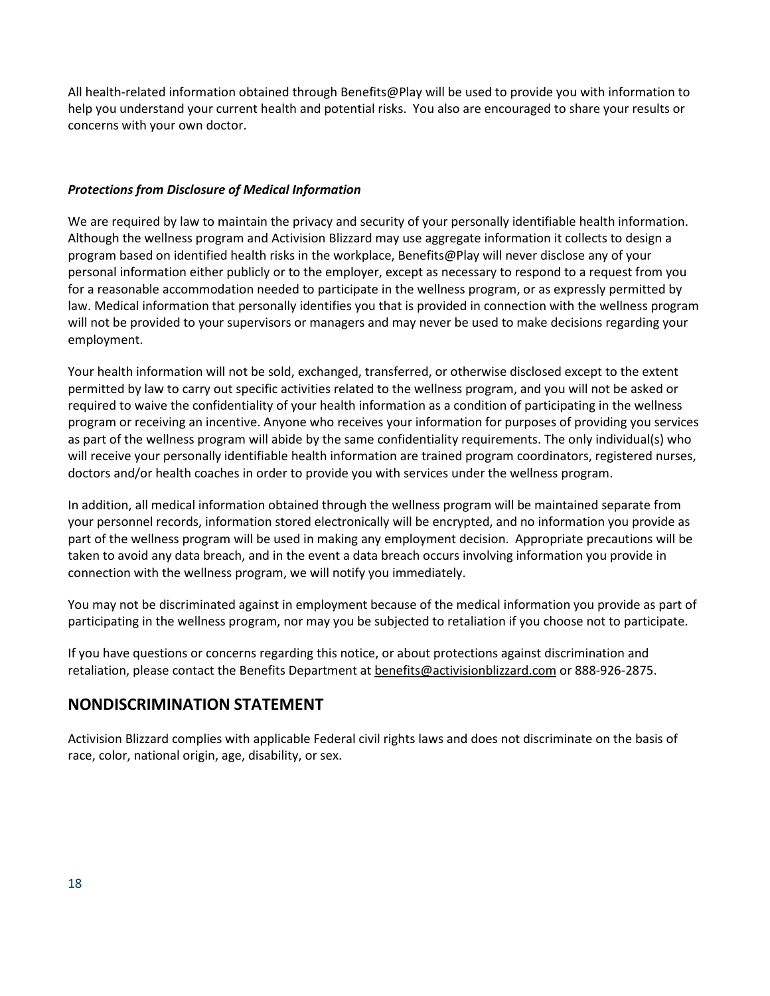All health-related information obtained through Benefits@Play will be used to provide you with information to help you understand your current health and potential risks. You also are encouraged to share your results or concerns with your own doctor.

### *Protections from Disclosure of Medical Information*

We are required by law to maintain the privacy and security of your personally identifiable health information. Although the wellness program and Activision Blizzard may use aggregate information it collects to design a program based on identified health risks in the workplace, Benefits@Play will never disclose any of your personal information either publicly or to the employer, except as necessary to respond to a request from you for a reasonable accommodation needed to participate in the wellness program, or as expressly permitted by law. Medical information that personally identifies you that is provided in connection with the wellness program will not be provided to your supervisors or managers and may never be used to make decisions regarding your employment.

Your health information will not be sold, exchanged, transferred, or otherwise disclosed except to the extent permitted by law to carry out specific activities related to the wellness program, and you will not be asked or required to waive the confidentiality of your health information as a condition of participating in the wellness program or receiving an incentive. Anyone who receives your information for purposes of providing you services as part of the wellness program will abide by the same confidentiality requirements. The only individual(s) who will receive your personally identifiable health information are trained program coordinators, registered nurses, doctors and/or health coaches in order to provide you with services under the wellness program.

In addition, all medical information obtained through the wellness program will be maintained separate from your personnel records, information stored electronically will be encrypted, and no information you provide as part of the wellness program will be used in making any employment decision. Appropriate precautions will be taken to avoid any data breach, and in the event a data breach occurs involving information you provide in connection with the wellness program, we will notify you immediately.

You may not be discriminated against in employment because of the medical information you provide as part of participating in the wellness program, nor may you be subjected to retaliation if you choose not to participate.

If you have questions or concerns regarding this notice, or about protections against discrimination and retaliation, please contact the Benefits Department at [benefits@activisionblizzard.com](mailto:benefits@activisionblizzard.com) or 888-926-2875.

### **NONDISCRIMINATION STATEMENT**

Activision Blizzard complies with applicable Federal civil rights laws and does not discriminate on the basis of race, color, national origin, age, disability, or sex.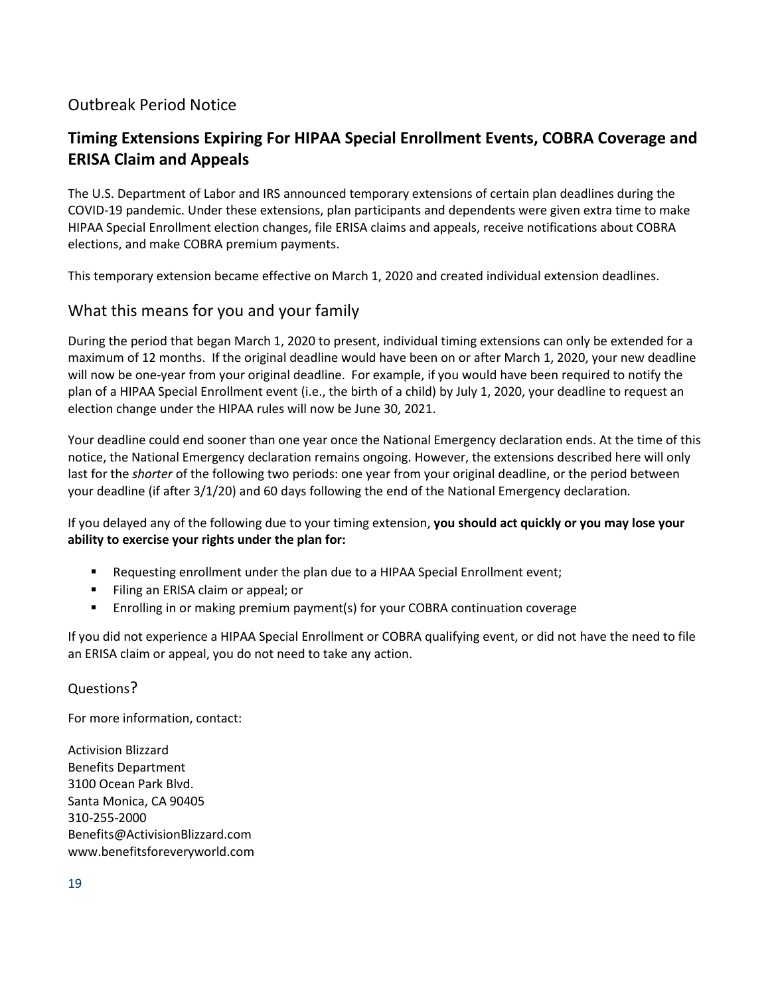# Outbreak Period Notice

# **Timing Extensions Expiring For HIPAA Special Enrollment Events, COBRA Coverage and ERISA Claim and Appeals**

The U.S. Department of Labor and IRS announced temporary extensions of certain plan deadlines during the COVID-19 pandemic. Under these extensions, plan participants and dependents were given extra time to make HIPAA Special Enrollment election changes, file ERISA claims and appeals, receive notifications about COBRA elections, and make COBRA premium payments.

This temporary extension became effective on March 1, 2020 and created individual extension deadlines.

### What this means for you and your family

During the period that began March 1, 2020 to present, individual timing extensions can only be extended for a maximum of 12 months. If the original deadline would have been on or after March 1, 2020, your new deadline will now be one-year from your original deadline. For example, if you would have been required to notify the plan of a HIPAA Special Enrollment event (i.e., the birth of a child) by July 1, 2020, your deadline to request an election change under the HIPAA rules will now be June 30, 2021.

Your deadline could end sooner than one year once the National Emergency declaration ends. At the time of this notice, the National Emergency declaration remains ongoing. However, the extensions described here will only last for the *shorter* of the following two periods: one year from your original deadline, or the period between your deadline (if after 3/1/20) and 60 days following the end of the National Emergency declaration*.*

If you delayed any of the following due to your timing extension, **you should act quickly or you may lose your ability to exercise your rights under the plan for:**

- Requesting enrollment under the plan due to a HIPAA Special Enrollment event;
- Filing an ERISA claim or appeal; or
- Enrolling in or making premium payment(s) for your COBRA continuation coverage

If you did not experience a HIPAA Special Enrollment or COBRA qualifying event, or did not have the need to file an ERISA claim or appeal, you do not need to take any action.

Questions?

For more information, contact: